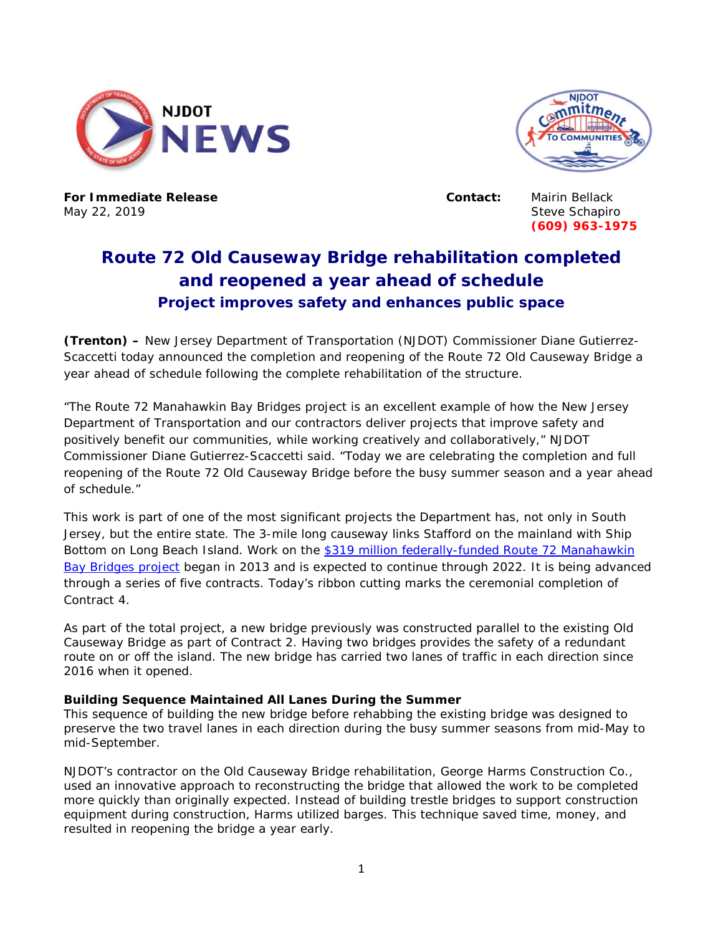



**For Immediate Release Contact:** Mairin Bellack May 22, 2019 Steve Schapiro

**(609) 963-1975**

## **Route 72 Old Causeway Bridge rehabilitation completed and reopened a year ahead of schedule Project improves safety and enhances public space**

**(Trenton) –** New Jersey Department of Transportation (NJDOT) Commissioner Diane Gutierrez-Scaccetti today announced the completion and reopening of the Route 72 Old Causeway Bridge a year ahead of schedule following the complete rehabilitation of the structure.

"The Route 72 Manahawkin Bay Bridges project is an excellent example of how the New Jersey Department of Transportation and our contractors deliver projects that improve safety and positively benefit our communities, while working creatively and collaboratively," NJDOT Commissioner Diane Gutierrez-Scaccetti said. "Today we are celebrating the completion and full reopening of the Route 72 Old Causeway Bridge before the busy summer season and a year ahead of schedule."

This work is part of one of the most significant projects the Department has, not only in South Jersey, but the entire state. The 3-mile long causeway links Stafford on the mainland with Ship Bottom on Long Beach Island. Work on the \$319 million federally-funded Route 72 Manahawkin [Bay Bridges project](http://www.state.nj.us/transportation/commuter/roads/rte72manahawkinbaybridges/) began in 2013 and is expected to continue through 2022. It is being advanced through a series of five contracts. Today's ribbon cutting marks the ceremonial completion of Contract 4.

As part of the total project, a new bridge previously was constructed parallel to the existing Old Causeway Bridge as part of Contract 2. Having two bridges provides the safety of a redundant route on or off the island. The new bridge has carried two lanes of traffic in each direction since 2016 when it opened.

## **Building Sequence Maintained All Lanes During the Summer**

This sequence of building the new bridge before rehabbing the existing bridge was designed to preserve the two travel lanes in each direction during the busy summer seasons from mid-May to mid-September.

NJDOT's contractor on the Old Causeway Bridge rehabilitation, George Harms Construction Co., used an innovative approach to reconstructing the bridge that allowed the work to be completed more quickly than originally expected. Instead of building trestle bridges to support construction equipment during construction, Harms utilized barges. This technique saved time, money, and resulted in reopening the bridge a year early.